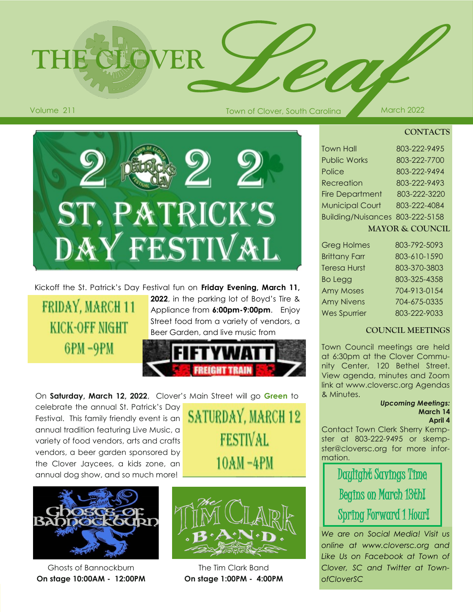**THE CLOVER**

#### **CONTACTS**

| <b>Town Hall</b>                | 803-222-9495 |
|---------------------------------|--------------|
| <b>Public Works</b>             | 803-222-7700 |
| Police                          | 803-222-9494 |
| Recreation                      | 803-222-9493 |
| <b>Fire Department</b>          | 803-222-3220 |
| <b>Municipal Court</b>          | 803-222-4084 |
| Building/Nuisances 803-222-5158 |              |
| <b>MAYOR &amp; COUNCIL</b>      |              |

| <b>Greg Holmes</b>   | 803-792-5093 |
|----------------------|--------------|
| <b>Brittany Farr</b> | 803-610-1590 |
| <b>Teresa Hurst</b>  | 803-370-3803 |
| <b>Bo Legg</b>       | 803-325-4358 |
| <b>Amy Moses</b>     | 704-913-0154 |
| <b>Amy Nivens</b>    | 704-675-0335 |
| <b>Wes Spurrier</b>  | 803-222-9033 |

#### **COUNCIL MEETINGS**

Town Council meetings are held at 6:30pm at the Clover Community Center, 120 Bethel Street. View agenda, minutes and Zoom link at www.cloversc.org Agendas & Minutes.

#### *Upcoming Meetings:* **March 14 April 4**

Contact Town Clerk Sherry Kempster at 803-222-9495 or skempster@cloversc.org for more information.

> Daylight Savings Time Begins on March 18thI Spring Forward 1 Hour!

*We are on Social Media! Visit us online at www.cloversc.org and Like Us on Facebook at Town of Clover, SC and Twitter at TownofCloverSC*

## Kickoff the St. Patrick's Day Festival fun on **Friday Evening, March 11,**

ST. PATRICK'S

DAY FESTIVAL

# FRIDAY, MARCH 11 **KICK-OFF NIGHT** 6PM-9PM

**2022**, in the parking lot of Boyd's Tire & Appliance from **6:00pm-9:00pm**. Enjoy Street food from a variety of vendors, a Beer Garden, and live music from



On **Saturday, March 12, 2022**, Clover's Main Street will go **Green** to

celebrate the annual St. Patrick's Day Festival. This family friendly event is an annual tradition featuring Live Music, a variety of food vendors, arts and crafts vendors, a beer garden sponsored by the Clover Jaycees, a kids zone, an annual dog show, and so much more!



Ghosts of Bannockburn **On stage 10:00AM - 12:00PM**



**SATURDAY, MARCH 12** 

**FESTIVAL** 

 $10AM - 4PM$ 

The Tim Clark Band **On stage 1:00PM - 4:00PM**